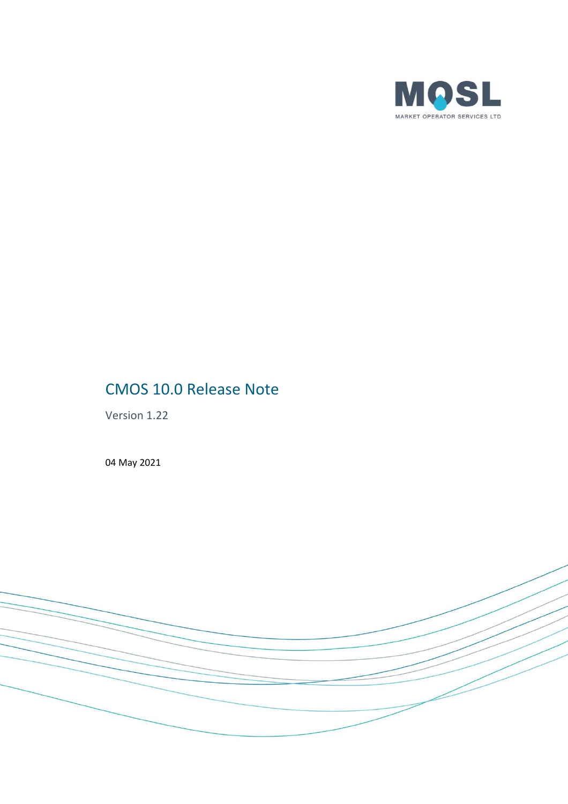

# CMOS 10.0 Release Note

Version 1.22

04 May 2021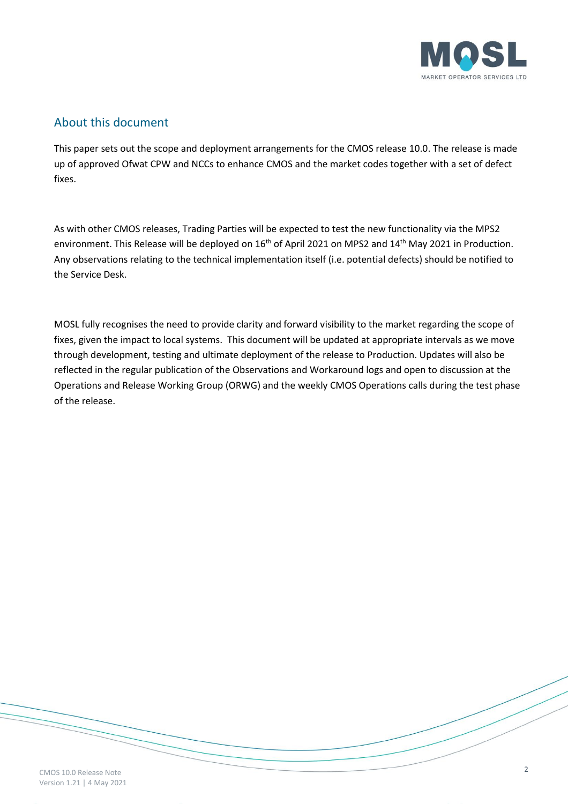

#### About this document

This paper sets out the scope and deployment arrangements for the CMOS release 10.0. The release is made up of approved Ofwat CPW and NCCs to enhance CMOS and the market codes together with a set of defect fixes.

As with other CMOS releases, Trading Parties will be expected to test the new functionality via the MPS2 environment. This Release will be deployed on 16<sup>th</sup> of April 2021 on MPS2 and 14<sup>th</sup> May 2021 in Production. Any observations relating to the technical implementation itself (i.e. potential defects) should be notified to the Service Desk.

MOSL fully recognises the need to provide clarity and forward visibility to the market regarding the scope of fixes, given the impact to local systems. This document will be updated at appropriate intervals as we move through development, testing and ultimate deployment of the release to Production. Updates will also be reflected in the regular publication of the Observations and Workaround logs and open to discussion at the Operations and Release Working Group (ORWG) and the weekly CMOS Operations calls during the test phase of the release.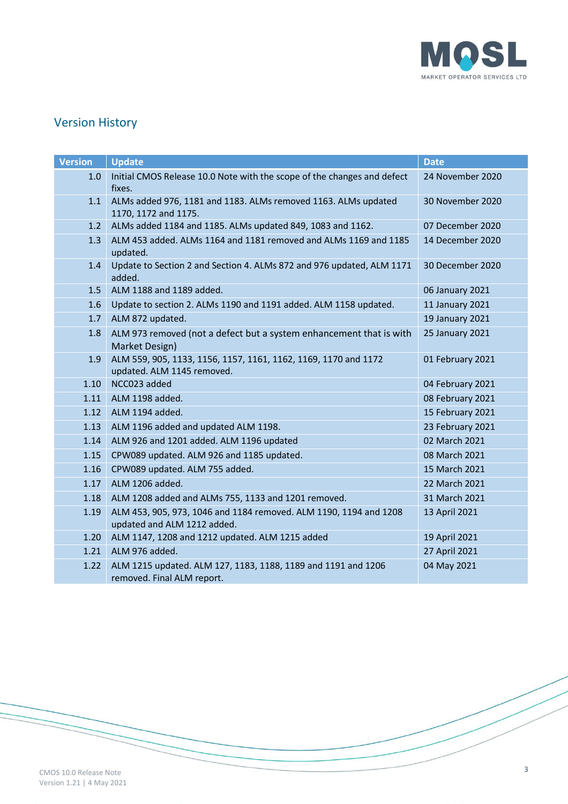

# Version History

| <b>Version</b> | <b>Update</b>                                                                                    | <b>Date</b>      |
|----------------|--------------------------------------------------------------------------------------------------|------------------|
| 1.0            | Initial CMOS Release 10.0 Note with the scope of the changes and defect<br>fixes.                | 24 November 2020 |
| 1.1            | ALMs added 976, 1181 and 1183. ALMs removed 1163. ALMs updated<br>1170, 1172 and 1175.           | 30 November 2020 |
| 1.2            | ALMs added 1184 and 1185. ALMs updated 849, 1083 and 1162.                                       | 07 December 2020 |
| 1.3            | ALM 453 added. ALMs 1164 and 1181 removed and ALMs 1169 and 1185<br>updated.                     | 14 December 2020 |
| 1.4            | Update to Section 2 and Section 4. ALMs 872 and 976 updated, ALM 1171<br>added.                  | 30 December 2020 |
| 1.5            | ALM 1188 and 1189 added.                                                                         | 06 January 2021  |
| 1.6            | Update to section 2. ALMs 1190 and 1191 added. ALM 1158 updated.                                 | 11 January 2021  |
| 1.7            | ALM 872 updated.                                                                                 | 19 January 2021  |
| 1.8            | ALM 973 removed (not a defect but a system enhancement that is with<br>Market Design)            | 25 January 2021  |
| 1.9            | ALM 559, 905, 1133, 1156, 1157, 1161, 1162, 1169, 1170 and 1172<br>updated. ALM 1145 removed.    | 01 February 2021 |
| 1.10           | NCC023 added                                                                                     | 04 February 2021 |
| 1.11           | ALM 1198 added.                                                                                  | 08 February 2021 |
| 1.12           | ALM 1194 added.                                                                                  | 15 February 2021 |
| 1.13           | ALM 1196 added and updated ALM 1198.                                                             | 23 February 2021 |
| 1.14           | ALM 926 and 1201 added. ALM 1196 updated                                                         | 02 March 2021    |
| 1.15           | CPW089 updated. ALM 926 and 1185 updated.                                                        | 08 March 2021    |
| 1.16           | CPW089 updated. ALM 755 added.                                                                   | 15 March 2021    |
| 1.17           | ALM 1206 added.                                                                                  | 22 March 2021    |
| 1.18           | ALM 1208 added and ALMs 755, 1133 and 1201 removed.                                              | 31 March 2021    |
| 1.19           | ALM 453, 905, 973, 1046 and 1184 removed. ALM 1190, 1194 and 1208<br>updated and ALM 1212 added. | 13 April 2021    |
| 1.20           | ALM 1147, 1208 and 1212 updated. ALM 1215 added                                                  | 19 April 2021    |
| 1.21           | ALM 976 added.                                                                                   | 27 April 2021    |
| 1.22           | ALM 1215 updated. ALM 127, 1183, 1188, 1189 and 1191 and 1206<br>removed. Final ALM report.      | 04 May 2021      |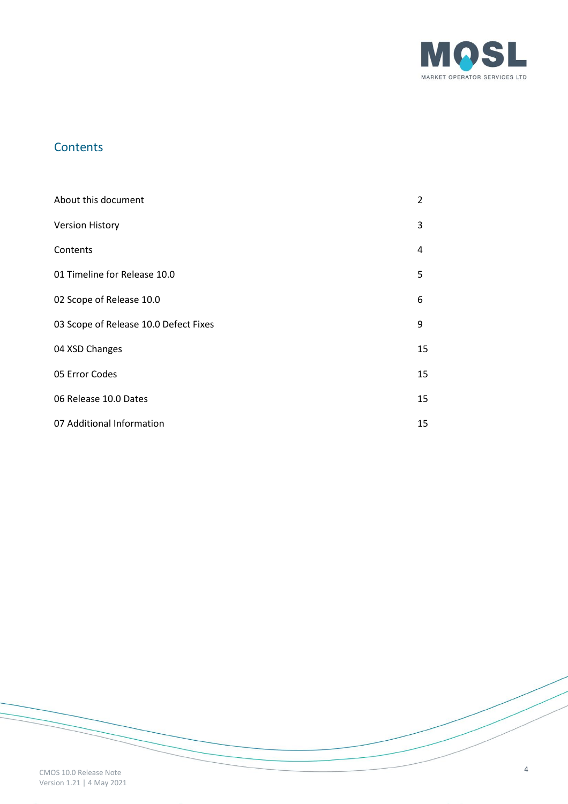

# **Contents**

| About this document                   | 2  |
|---------------------------------------|----|
| <b>Version History</b>                | 3  |
| Contents                              | 4  |
| 01 Timeline for Release 10.0          | 5  |
| 02 Scope of Release 10.0              | 6  |
| 03 Scope of Release 10.0 Defect Fixes | 9  |
| 04 XSD Changes                        | 15 |
| 05 Error Codes                        | 15 |
| 06 Release 10.0 Dates                 | 15 |
| 07 Additional Information             | 15 |

CMOS 10.0 Release Note Version 1.21 | 4 May 2021 4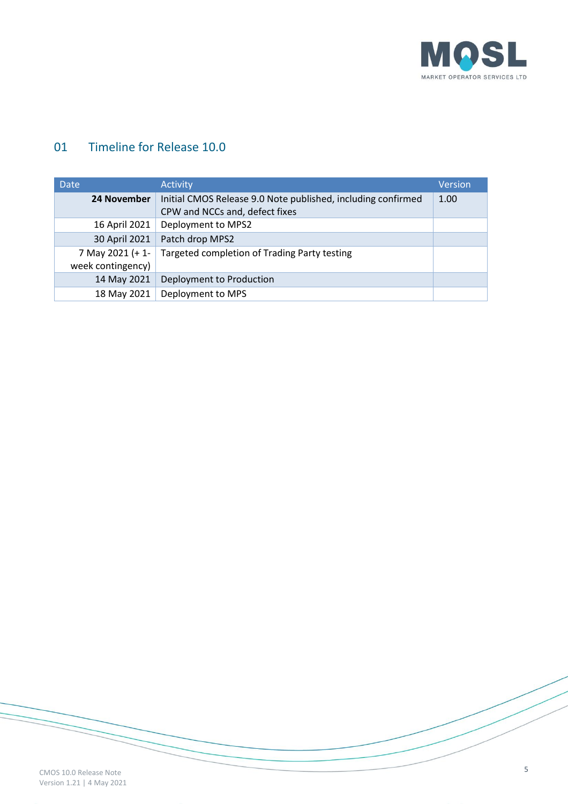

# 01 Timeline for Release 10.0

| <b>Date</b>                                                     | <b>Activity</b>                                              | Version |
|-----------------------------------------------------------------|--------------------------------------------------------------|---------|
| 24 November                                                     | Initial CMOS Release 9.0 Note published, including confirmed | 1.00    |
|                                                                 | CPW and NCCs and, defect fixes                               |         |
| 16 April 2021                                                   | Deployment to MPS2                                           |         |
| 30 April 2021                                                   | Patch drop MPS2                                              |         |
| 7 May 2021 (+1-<br>Targeted completion of Trading Party testing |                                                              |         |
| week contingency)                                               |                                                              |         |
| 14 May 2021                                                     | Deployment to Production                                     |         |
| 18 May 2021                                                     | Deployment to MPS                                            |         |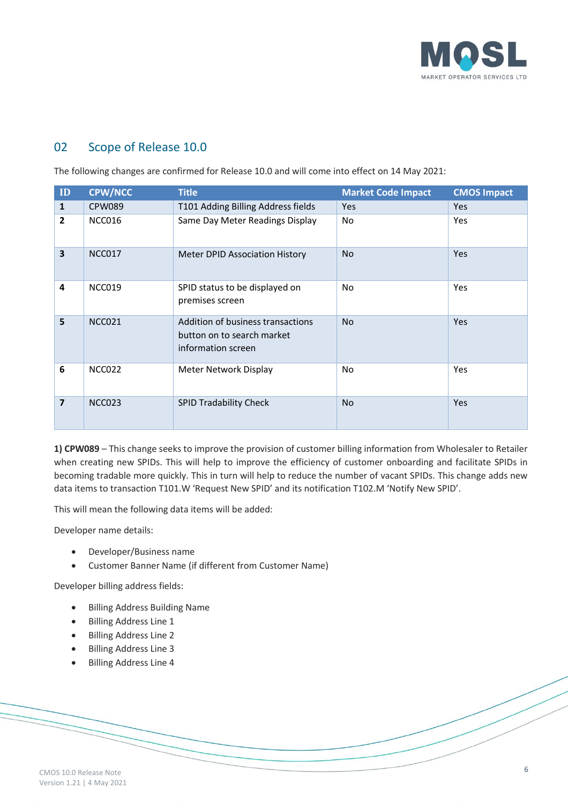

## 02 Scope of Release 10.0

The following changes are confirmed for Release 10.0 and will come into effect on 14 May 2021:

| ID                      | <b>CPW/NCC</b> | <b>Title</b>                                                                          | <b>Market Code Impact</b> | <b>CMOS Impact</b> |
|-------------------------|----------------|---------------------------------------------------------------------------------------|---------------------------|--------------------|
| $\mathbf{1}$            | <b>CPW089</b>  | T101 Adding Billing Address fields                                                    | <b>Yes</b>                | <b>Yes</b>         |
| $\overline{2}$          | NCC016         | Same Day Meter Readings Display                                                       | No                        | Yes                |
| $\overline{\mathbf{3}}$ | <b>NCC017</b>  | <b>Meter DPID Association History</b>                                                 | <b>No</b>                 | <b>Yes</b>         |
| 4                       | <b>NCC019</b>  | SPID status to be displayed on<br>premises screen                                     | <b>No</b>                 | Yes                |
| 5                       | <b>NCC021</b>  | Addition of business transactions<br>button on to search market<br>information screen | <b>No</b>                 | Yes                |
| 6                       | NCC022         | Meter Network Display                                                                 | No                        | Yes                |
| $\overline{7}$          | <b>NCC023</b>  | <b>SPID Tradability Check</b>                                                         | <b>No</b>                 | <b>Yes</b>         |

**1) CPW089** – This change seeks to improve the provision of customer billing information from Wholesaler to Retailer when creating new SPIDs. This will help to improve the efficiency of customer onboarding and facilitate SPIDs in becoming tradable more quickly. This in turn will help to reduce the number of vacant SPIDs. This change adds new data items to transaction T101.W 'Request New SPID' and its notification T102.M 'Notify New SPID'.

This will mean the following data items will be added:

Developer name details:

- Developer/Business name
- Customer Banner Name (if different from Customer Name)

Developer billing address fields:

- Billing Address Building Name
- Billing Address Line 1
- Billing Address Line 2
- Billing Address Line 3
- Billing Address Line 4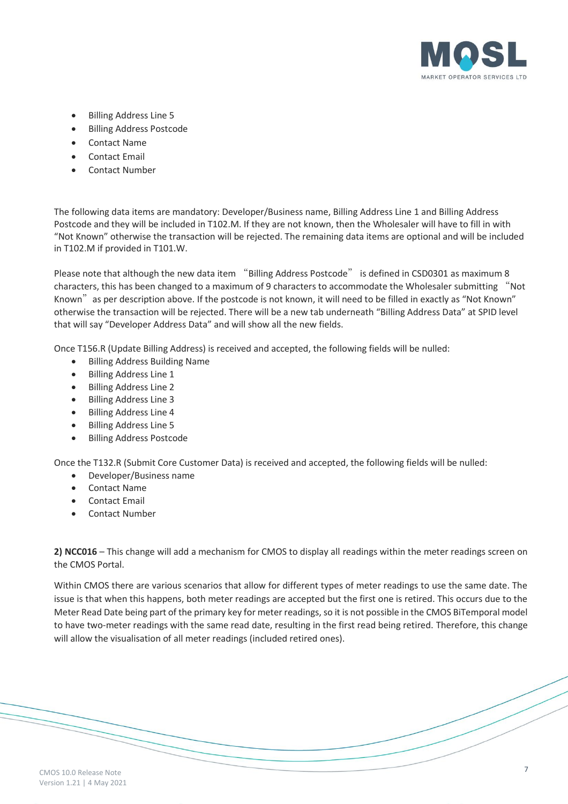

- Billing Address Line 5
- Billing Address Postcode
- Contact Name
- Contact Email
- Contact Number

The following data items are mandatory: Developer/Business name, Billing Address Line 1 and Billing Address Postcode and they will be included in T102.M. If they are not known, then the Wholesaler will have to fill in with "Not Known" otherwise the transaction will be rejected. The remaining data items are optional and will be included in T102.M if provided in T101.W.

Please note that although the new data item "Billing Address Postcode" is defined in CSD0301 as maximum 8 characters, this has been changed to a maximum of 9 characters to accommodate the Wholesaler submitting "Not Known"as per description above. If the postcode is not known, it will need to be filled in exactly as "Not Known" otherwise the transaction will be rejected. There will be a new tab underneath "Billing Address Data" at SPID level that will say "Developer Address Data" and will show all the new fields.

Once T156.R (Update Billing Address) is received and accepted, the following fields will be nulled:

- Billing Address Building Name
- Billing Address Line 1
- Billing Address Line 2
- Billing Address Line 3
- Billing Address Line 4
- Billing Address Line 5
- Billing Address Postcode

Once the T132.R (Submit Core Customer Data) is received and accepted, the following fields will be nulled:

- Developer/Business name
- Contact Name
- Contact Email
- Contact Number

**2) NCC016** – This change will add a mechanism for CMOS to display all readings within the meter readings screen on the CMOS Portal.

Within CMOS there are various scenarios that allow for different types of meter readings to use the same date. The issue is that when this happens, both meter readings are accepted but the first one is retired. This occurs due to the Meter Read Date being part of the primary key for meter readings, so it is not possible in the CMOS BiTemporal model to have two-meter readings with the same read date, resulting in the first read being retired. Therefore, this change will allow the visualisation of all meter readings (included retired ones).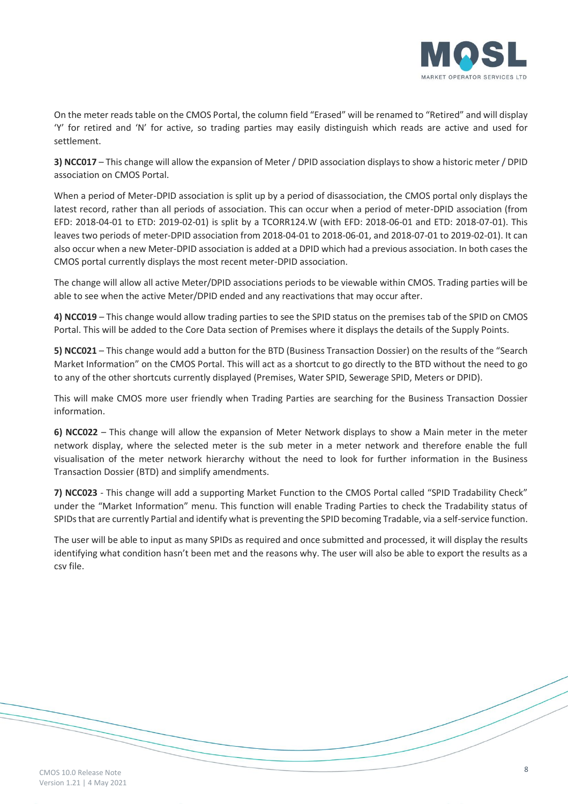

On the meter reads table on the CMOS Portal, the column field "Erased" will be renamed to "Retired" and will display 'Y' for retired and 'N' for active, so trading parties may easily distinguish which reads are active and used for settlement.

**3) NCC017** – This change will allow the expansion of Meter / DPID association displays to show a historic meter / DPID association on CMOS Portal.

When a period of Meter-DPID association is split up by a period of disassociation, the CMOS portal only displays the latest record, rather than all periods of association. This can occur when a period of meter-DPID association (from EFD: 2018-04-01 to ETD: 2019-02-01) is split by a TCORR124.W (with EFD: 2018-06-01 and ETD: 2018-07-01). This leaves two periods of meter-DPID association from 2018-04-01 to 2018-06-01, and 2018-07-01 to 2019-02-01). It can also occur when a new Meter-DPID association is added at a DPID which had a previous association. In both cases the CMOS portal currently displays the most recent meter-DPID association.

The change will allow all active Meter/DPID associations periods to be viewable within CMOS. Trading parties will be able to see when the active Meter/DPID ended and any reactivations that may occur after.

**4) NCC019** – This change would allow trading parties to see the SPID status on the premises tab of the SPID on CMOS Portal. This will be added to the Core Data section of Premises where it displays the details of the Supply Points.

**5) NCC021** – This change would add a button for the BTD (Business Transaction Dossier) on the results of the "Search Market Information" on the CMOS Portal. This will act as a shortcut to go directly to the BTD without the need to go to any of the other shortcuts currently displayed (Premises, Water SPID, Sewerage SPID, Meters or DPID).

This will make CMOS more user friendly when Trading Parties are searching for the Business Transaction Dossier information.

**6) NCC022** – This change will allow the expansion of Meter Network displays to show a Main meter in the meter network display, where the selected meter is the sub meter in a meter network and therefore enable the full visualisation of the meter network hierarchy without the need to look for further information in the Business Transaction Dossier (BTD) and simplify amendments.

**7) NCC023** - This change will add a supporting Market Function to the CMOS Portal called "SPID Tradability Check" under the "Market Information" menu. This function will enable Trading Parties to check the Tradability status of SPIDs that are currently Partial and identify what is preventing the SPID becoming Tradable, via a self-service function.

The user will be able to input as many SPIDs as required and once submitted and processed, it will display the results identifying what condition hasn't been met and the reasons why. The user will also be able to export the results as a csv file.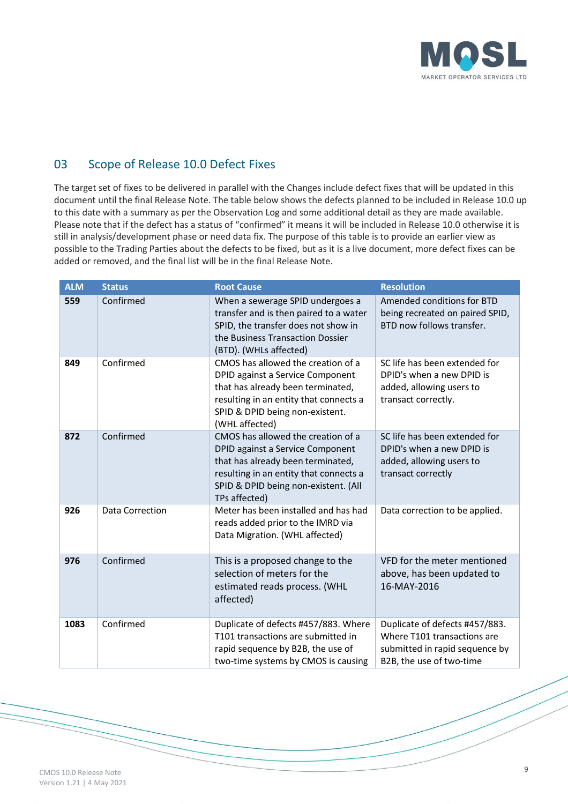

## 03 Scope of Release 10.0 Defect Fixes

The target set of fixes to be delivered in parallel with the Changes include defect fixes that will be updated in this document until the final Release Note. The table below shows the defects planned to be included in Release 10.0 up to this date with a summary as per the Observation Log and some additional detail as they are made available. Please note that if the defect has a status of "confirmed" it means it will be included in Release 10.0 otherwise it is still in analysis/development phase or need data fix. The purpose of this table is to provide an earlier view as possible to the Trading Parties about the defects to be fixed, but as it is a live document, more defect fixes can be added or removed, and the final list will be in the final Release Note.

| <b>ALM</b> | <b>Status</b>   | <b>Root Cause</b>                                                                                                                                                                                              | <b>Resolution</b>                                                                                                           |
|------------|-----------------|----------------------------------------------------------------------------------------------------------------------------------------------------------------------------------------------------------------|-----------------------------------------------------------------------------------------------------------------------------|
| 559        | Confirmed       | When a sewerage SPID undergoes a<br>transfer and is then paired to a water<br>SPID, the transfer does not show in<br>the Business Transaction Dossier<br>(BTD). (WHLs affected)                                | Amended conditions for BTD<br>being recreated on paired SPID,<br>BTD now follows transfer.                                  |
| 849        | Confirmed       | CMOS has allowed the creation of a<br>DPID against a Service Component<br>that has already been terminated,<br>resulting in an entity that connects a<br>SPID & DPID being non-existent.<br>(WHL affected)     | SC life has been extended for<br>DPID's when a new DPID is<br>added, allowing users to<br>transact correctly.               |
| 872        | Confirmed       | CMOS has allowed the creation of a<br>DPID against a Service Component<br>that has already been terminated,<br>resulting in an entity that connects a<br>SPID & DPID being non-existent. (All<br>TPs affected) | SC life has been extended for<br>DPID's when a new DPID is<br>added, allowing users to<br>transact correctly                |
| 926        | Data Correction | Meter has been installed and has had<br>reads added prior to the IMRD via<br>Data Migration. (WHL affected)                                                                                                    | Data correction to be applied.                                                                                              |
| 976        | Confirmed       | This is a proposed change to the<br>selection of meters for the<br>estimated reads process. (WHL<br>affected)                                                                                                  | VFD for the meter mentioned<br>above, has been updated to<br>16-MAY-2016                                                    |
| 1083       | Confirmed       | Duplicate of defects #457/883. Where<br>T101 transactions are submitted in<br>rapid sequence by B2B, the use of<br>two-time systems by CMOS is causing                                                         | Duplicate of defects #457/883.<br>Where T101 transactions are<br>submitted in rapid sequence by<br>B2B, the use of two-time |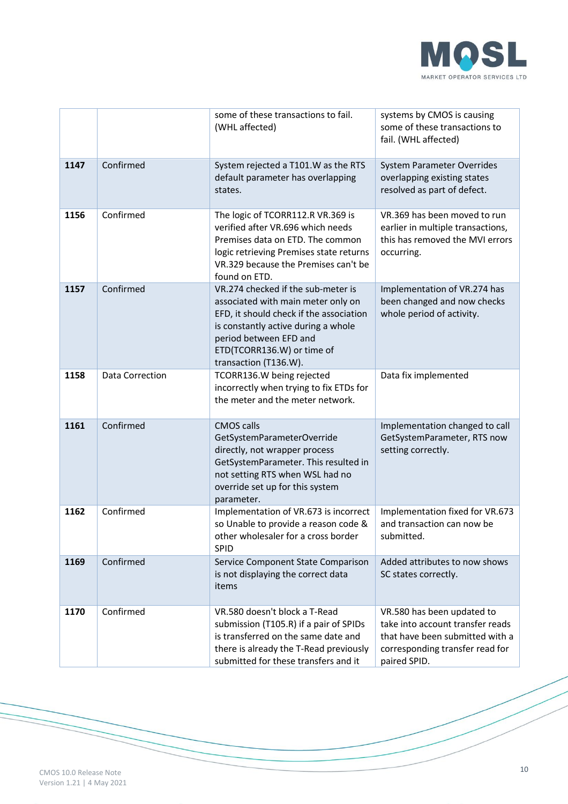

|      |                 | some of these transactions to fail.<br>(WHL affected)                                                                                                                                                                                       | systems by CMOS is causing<br>some of these transactions to<br>fail. (WHL affected)                                                                  |
|------|-----------------|---------------------------------------------------------------------------------------------------------------------------------------------------------------------------------------------------------------------------------------------|------------------------------------------------------------------------------------------------------------------------------------------------------|
| 1147 | Confirmed       | System rejected a T101.W as the RTS<br>default parameter has overlapping<br>states.                                                                                                                                                         | <b>System Parameter Overrides</b><br>overlapping existing states<br>resolved as part of defect.                                                      |
| 1156 | Confirmed       | The logic of TCORR112.R VR.369 is<br>verified after VR.696 which needs<br>Premises data on ETD. The common<br>logic retrieving Premises state returns<br>VR.329 because the Premises can't be<br>found on ETD.                              | VR.369 has been moved to run<br>earlier in multiple transactions,<br>this has removed the MVI errors<br>occurring.                                   |
| 1157 | Confirmed       | VR.274 checked if the sub-meter is<br>associated with main meter only on<br>EFD, it should check if the association<br>is constantly active during a whole<br>period between EFD and<br>ETD(TCORR136.W) or time of<br>transaction (T136.W). | Implementation of VR.274 has<br>been changed and now checks<br>whole period of activity.                                                             |
| 1158 | Data Correction | TCORR136.W being rejected<br>incorrectly when trying to fix ETDs for<br>the meter and the meter network.                                                                                                                                    | Data fix implemented                                                                                                                                 |
| 1161 | Confirmed       | <b>CMOS calls</b><br>GetSystemParameterOverride<br>directly, not wrapper process<br>GetSystemParameter. This resulted in<br>not setting RTS when WSL had no<br>override set up for this system<br>parameter.                                | Implementation changed to call<br>GetSystemParameter, RTS now<br>setting correctly.                                                                  |
| 1162 | Confirmed       | Implementation of VR.673 is incorrect<br>so Unable to provide a reason code &<br>other wholesaler for a cross border<br><b>SPID</b>                                                                                                         | Implementation fixed for VR.673<br>and transaction can now be<br>submitted.                                                                          |
| 1169 | Confirmed       | Service Component State Comparison<br>is not displaying the correct data<br>items                                                                                                                                                           | Added attributes to now shows<br>SC states correctly.                                                                                                |
| 1170 | Confirmed       | VR.580 doesn't block a T-Read<br>submission (T105.R) if a pair of SPIDs<br>is transferred on the same date and<br>there is already the T-Read previously<br>submitted for these transfers and it                                            | VR.580 has been updated to<br>take into account transfer reads<br>that have been submitted with a<br>corresponding transfer read for<br>paired SPID. |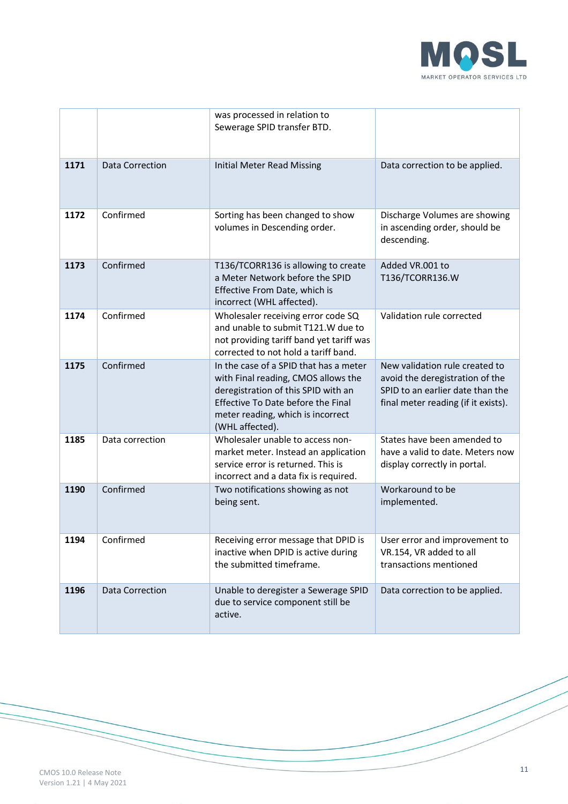

|      |                        | was processed in relation to<br>Sewerage SPID transfer BTD.                                                                                                                                                               |                                                                                                                                              |
|------|------------------------|---------------------------------------------------------------------------------------------------------------------------------------------------------------------------------------------------------------------------|----------------------------------------------------------------------------------------------------------------------------------------------|
| 1171 | <b>Data Correction</b> | <b>Initial Meter Read Missing</b>                                                                                                                                                                                         | Data correction to be applied.                                                                                                               |
| 1172 | Confirmed              | Sorting has been changed to show<br>volumes in Descending order.                                                                                                                                                          | Discharge Volumes are showing<br>in ascending order, should be<br>descending.                                                                |
| 1173 | Confirmed              | T136/TCORR136 is allowing to create<br>a Meter Network before the SPID<br>Effective From Date, which is<br>incorrect (WHL affected).                                                                                      | Added VR.001 to<br>T136/TCORR136.W                                                                                                           |
| 1174 | Confirmed              | Wholesaler receiving error code SQ<br>and unable to submit T121.W due to<br>not providing tariff band yet tariff was<br>corrected to not hold a tariff band.                                                              | Validation rule corrected                                                                                                                    |
| 1175 | Confirmed              | In the case of a SPID that has a meter<br>with Final reading, CMOS allows the<br>deregistration of this SPID with an<br><b>Effective To Date before the Final</b><br>meter reading, which is incorrect<br>(WHL affected). | New validation rule created to<br>avoid the deregistration of the<br>SPID to an earlier date than the<br>final meter reading (if it exists). |
| 1185 | Data correction        | Wholesaler unable to access non-<br>market meter. Instead an application<br>service error is returned. This is<br>incorrect and a data fix is required.                                                                   | States have been amended to<br>have a valid to date. Meters now<br>display correctly in portal.                                              |
| 1190 | Confirmed              | Two notifications showing as not<br>being sent.                                                                                                                                                                           | Workaround to be<br>implemented.                                                                                                             |
| 1194 | Confirmed              | Receiving error message that DPID is<br>inactive when DPID is active during<br>the submitted timeframe.                                                                                                                   | User error and improvement to<br>VR.154, VR added to all<br>transactions mentioned                                                           |
| 1196 | Data Correction        | Unable to deregister a Sewerage SPID<br>due to service component still be<br>active.                                                                                                                                      | Data correction to be applied.                                                                                                               |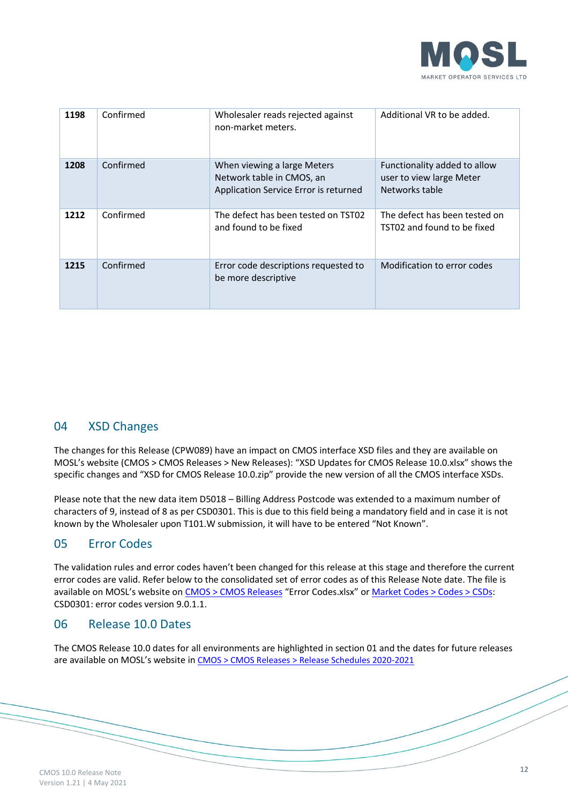

| 1198 | Confirmed | Wholesaler reads rejected against<br>non-market meters.                                           | Additional VR to be added.                                                 |
|------|-----------|---------------------------------------------------------------------------------------------------|----------------------------------------------------------------------------|
| 1208 | Confirmed | When viewing a large Meters<br>Network table in CMOS, an<br>Application Service Error is returned | Functionality added to allow<br>user to view large Meter<br>Networks table |
| 1212 | Confirmed | The defect has been tested on TST02<br>and found to be fixed                                      | The defect has been tested on<br>TST02 and found to be fixed               |
| 1215 | Confirmed | Error code descriptions requested to<br>be more descriptive                                       | Modification to error codes                                                |

### 04 XSD Changes

The changes for this Release (CPW089) have an impact on CMOS interface XSD files and they are available on MOSL's website (CMOS > CMOS Releases > New Releases): "XSD Updates for CMOS Release 10.0.xlsx" shows the specific changes and "XSD for CMOS Release 10.0.zip" provide the new version of all the CMOS interface XSDs.

Please note that the new data item D5018 – Billing Address Postcode was extended to a maximum number of characters of 9, instead of 8 as per CSD0301. This is due to this field being a mandatory field and in case it is not known by the Wholesaler upon T101.W submission, it will have to be entered "Not Known".

#### 05 Error Codes

The validation rules and error codes haven't been changed for this release at this stage and therefore the current error codes are valid. Refer below to the consolidated set of error codes as of this Release Note date. The file is available on MOSL's website on [CMOS > CMOS Releases](https://www.mosl.co.uk/cmos/new-releases) "Error Codes.xlsx" o[r Market Codes > Codes > CSDs:](https://www.mosl.co.uk/market-codes/codes) CSD0301: error codes version 9.0.1.1.

#### 06 Release 10.0 Dates

The CMOS Release 10.0 dates for all environments are highlighted in section 01 and the dates for future releases are available on MOSL's website in [CMOS > CMOS Releases > Release Schedules 2020-2021](https://www.mosl.co.uk/cmos/new-releases)